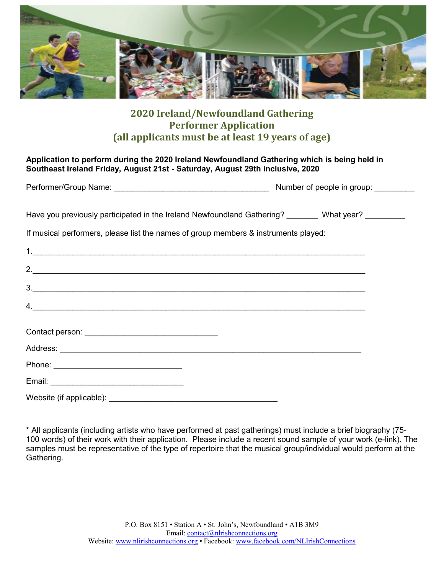

# **2020 Ireland/Newfoundland Gathering Performer Application (all applicants must be at least 19 years of age)**

### **Application to perform during the 2020 Ireland Newfoundland Gathering which is being held in Southeast Ireland Friday, August 21st - Saturday, August 29th inclusive, 2020**

| Performer/Group Name: | Number of people in group: |
|-----------------------|----------------------------|
|                       |                            |

Have you previously participated in the Ireland Newfoundland Gathering? What year?

If musical performers, please list the names of group members & instruments played:

| 2.                                                      |  |  |
|---------------------------------------------------------|--|--|
| 3.                                                      |  |  |
| $\mathcal{A}$ .                                         |  |  |
| Contact person: <u>________________________________</u> |  |  |
|                                                         |  |  |
|                                                         |  |  |
|                                                         |  |  |
| Website (if applicable): ____________                   |  |  |

\* All applicants (including artists who have performed at past gatherings) must include a brief biography (75- 100 words) of their work with their application. Please include a recent sound sample of your work (e-link). The samples must be representative of the type of repertoire that the musical group/individual would perform at the Gathering.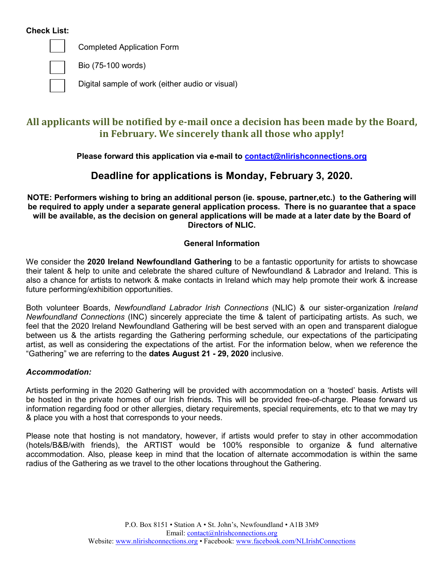#### **Check List:**



Completed Application Form

Bio (75-100 words)

Digital sample of work (either audio or visual)

# **All applicants will be notified by e-mail once a decision has been made by the Board, in February. We sincerely thank all those who apply!**

## **Please forward this application via e-mail to [contact@nlirishconnections.org](mailto:contact@irishconnections.org)**

# **Deadline for applications is Monday, February 3, 2020.**

**NOTE: Performers wishing to bring an additional person (ie. spouse, partner,etc.) to the Gathering will be required to apply under a separate general application process. There is no guarantee that a space will be available, as the decision on general applications will be made at a later date by the Board of Directors of NLIC.**

### **General Information**

We consider the **2020 Ireland Newfoundland Gathering** to be a fantastic opportunity for artists to showcase their talent & help to unite and celebrate the shared culture of Newfoundland & Labrador and Ireland. This is also a chance for artists to network & make contacts in Ireland which may help promote their work & increase future performing/exhibition opportunities.

Both volunteer Boards, *Newfoundland Labrador Irish Connections* (NLIC) & our sister-organization *Ireland Newfoundland Connections* (INC) sincerely appreciate the time & talent of participating artists. As such, we feel that the 2020 Ireland Newfoundland Gathering will be best served with an open and transparent dialogue between us & the artists regarding the Gathering performing schedule, our expectations of the participating artist, as well as considering the expectations of the artist. For the information below, when we reference the "Gathering" we are referring to the **dates August 21 - 29, 2020** inclusive.

### *Accommodation:*

Artists performing in the 2020 Gathering will be provided with accommodation on a 'hosted' basis. Artists will be hosted in the private homes of our Irish friends. This will be provided free-of-charge. Please forward us information regarding food or other allergies, dietary requirements, special requirements, etc to that we may try & place you with a host that corresponds to your needs.

Please note that hosting is not mandatory, however, if artists would prefer to stay in other accommodation (hotels/B&B/with friends), the ARTIST would be 100% responsible to organize & fund alternative accommodation. Also, please keep in mind that the location of alternate accommodation is within the same radius of the Gathering as we travel to the other locations throughout the Gathering.